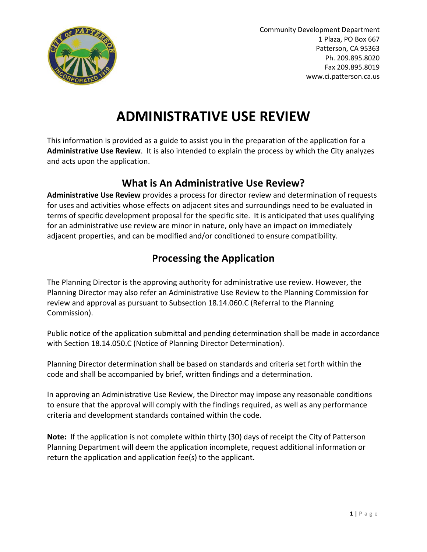

# **ADMINISTRATIVE USE REVIEW**

This information is provided as a guide to assist you in the preparation of the application for a **Administrative Use Review**. It is also intended to explain the process by which the City analyzes and acts upon the application.

#### **What is An Administrative Use Review?**

**Administrative Use Review** provides a process for director review and determination of requests for uses and activities whose effects on adjacent sites and surroundings need to be evaluated in terms of specific development proposal for the specific site. It is anticipated that uses qualifying for an administrative use review are minor in nature, only have an impact on immediately adjacent properties, and can be modified and/or conditioned to ensure compatibility.

### **Processing the Application**

The Planning Director is the approving authority for administrative use review. However, the Planning Director may also refer an Administrative Use Review to the Planning Commission for review and approval as pursuant to Subsection 18.14.060.C (Referral to the Planning Commission).

Public notice of the application submittal and pending determination shall be made in accordance with Section 18.14.050.C (Notice of Planning Director Determination).

Planning Director determination shall be based on standards and criteria set forth within the code and shall be accompanied by brief, written findings and a determination.

In approving an Administrative Use Review, the Director may impose any reasonable conditions to ensure that the approval will comply with the findings required, as well as any performance criteria and development standards contained within the code.

**Note:** If the application is not complete within thirty (30) days of receipt the City of Patterson Planning Department will deem the application incomplete, request additional information or return the application and application fee(s) to the applicant.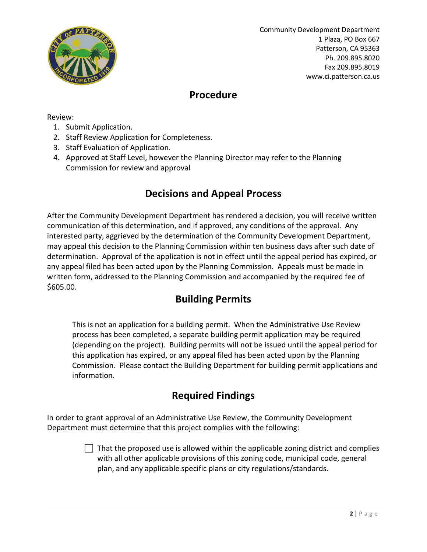

#### **Procedure**

Review:

- 1. Submit Application.
- 2. Staff Review Application for Completeness.
- 3. Staff Evaluation of Application.
- 4. Approved at Staff Level, however the Planning Director may refer to the Planning Commission for review and approval

#### **Decisions and Appeal Process**

After the Community Development Department has rendered a decision, you will receive written communication of this determination, and if approved, any conditions of the approval. Any interested party, aggrieved by the determination of the Community Development Department, may appeal this decision to the Planning Commission within ten business days after such date of determination. Approval of the application is not in effect until the appeal period has expired, or any appeal filed has been acted upon by the Planning Commission. Appeals must be made in written form, addressed to the Planning Commission and accompanied by the required fee of \$605.00.

### **Building Permits**

This is not an application for a building permit. When the Administrative Use Review process has been completed, a separate building permit application may be required (depending on the project). Building permits will not be issued until the appeal period for this application has expired, or any appeal filed has been acted upon by the Planning Commission. Please contact the Building Department for building permit applications and information.

### **Required Findings**

In order to grant approval of an Administrative Use Review, the Community Development Department must determine that this project complies with the following:

> That the proposed use is allowed within the applicable zoning district and complies with all other applicable provisions of this zoning code, municipal code, general plan, and any applicable specific plans or city regulations/standards.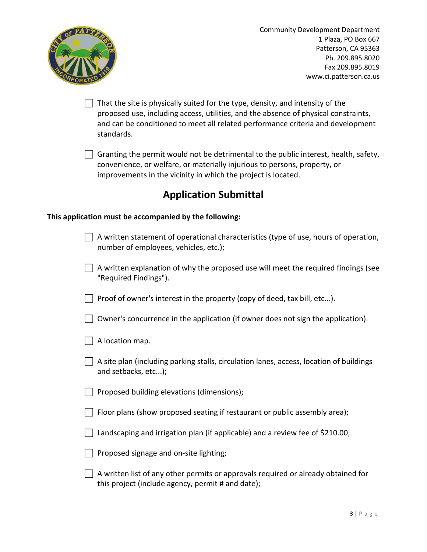

 $\Box$  That the site is physically suited for the type, density, and intensity of the proposed use, including access, utilities, and the absence of physical constraints, and can be conditioned to meet all related performance criteria and development standards.

 $\Box$  Granting the permit would not be detrimental to the public interest, health, safety, convenience, or welfare, or materially injurious to persons, property, or improvements in the vicinity in which the project is located.

### **Application Submittal**

#### **This application must be accompanied by the following:**

| A written statement of operational characteristics (type of use, hours of operation,<br>number of employees, vehicles, etc.);          |
|----------------------------------------------------------------------------------------------------------------------------------------|
| A written explanation of why the proposed use will meet the required findings (see<br>"Required Findings").                            |
| Proof of owner's interest in the property (copy of deed, tax bill, etc).                                                               |
| Owner's concurrence in the application (if owner does not sign the application).                                                       |
| A location map.                                                                                                                        |
| A site plan (including parking stalls, circulation lanes, access, location of buildings<br>and setbacks, etc);                         |
| Proposed building elevations (dimensions);                                                                                             |
| Floor plans (show proposed seating if restaurant or public assembly area);                                                             |
| Landscaping and irrigation plan (if applicable) and a review fee of \$210.00;                                                          |
| Proposed signage and on-site lighting;                                                                                                 |
| A written list of any other permits or approvals required or already obtained for<br>this project (include agency, permit # and date); |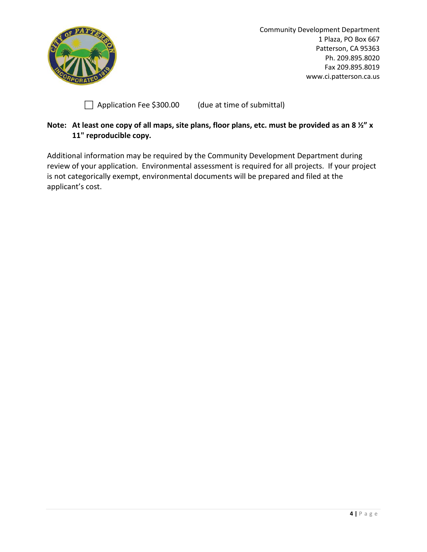

Application Fee \$300.00 (due at time of submittal)

#### **Note: At least one copy of all maps, site plans, floor plans, etc. must be provided as an 8 ½" x 11" reproducible copy.**

Additional information may be required by the Community Development Department during review of your application. Environmental assessment is required for all projects. If your project is not categorically exempt, environmental documents will be prepared and filed at the applicant's cost.